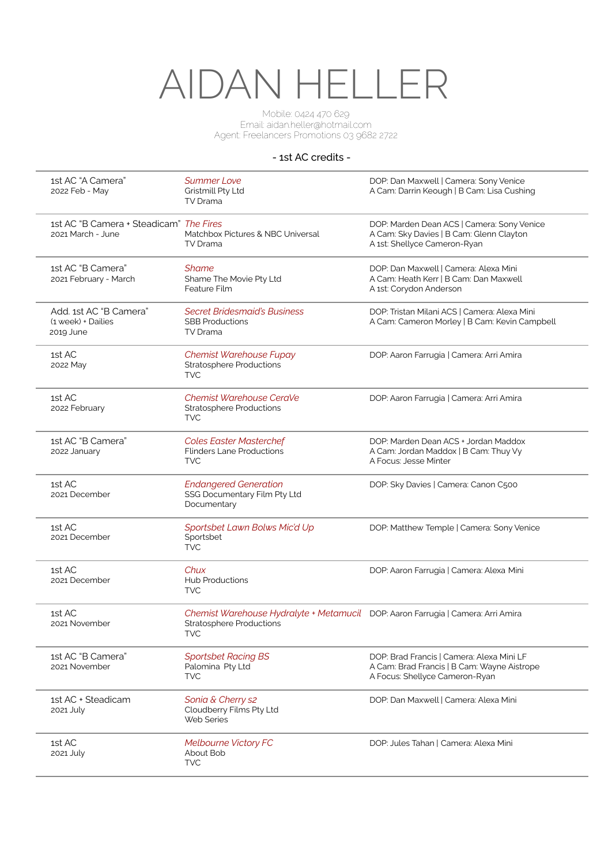# AIDAN HELLER

Mobile: 0424 470 629 Email: aidan.heller@hotmail.com Agent: Freelancers Promotions 03 9682 2722

### - 1st AC credits -

| 1st AC "A Camera"<br>2022 Feb - May                          | <b>Summer Love</b><br>Gristmill Pty Ltd<br>TV Drama                                                                               | DOP: Dan Maxwell   Camera: Sony Venice<br>A Cam: Darrin Keough   B Cam: Lisa Cushing                                       |
|--------------------------------------------------------------|-----------------------------------------------------------------------------------------------------------------------------------|----------------------------------------------------------------------------------------------------------------------------|
| 1st AC "B Camera + Steadicam" The Fires<br>2021 March - June | Matchbox Pictures & NBC Universal<br>TV Drama                                                                                     | DOP: Marden Dean ACS   Camera: Sony Venice<br>A Cam: Sky Davies   B Cam: Glenn Clayton<br>A 1st: Shellyce Cameron-Ryan     |
| 1st AC "B Camera"<br>2021 February - March                   | <b>Shame</b><br>Shame The Movie Pty Ltd<br>Feature Film                                                                           | DOP: Dan Maxwell   Camera: Alexa Mini<br>A Cam: Heath Kerr   B Cam: Dan Maxwell<br>A 1st: Corydon Anderson                 |
| Add. 1st AC "B Camera"<br>(1 week) + Dailies<br>2019 June    | <b>Secret Bridesmaid's Business</b><br><b>SBB Productions</b><br>TV Drama                                                         | DOP: Tristan Milani ACS   Camera: Alexa Mini<br>A Cam: Cameron Morley   B Cam: Kevin Campbell                              |
| 1st AC<br>2022 May                                           | Chemist Warehouse Fupay<br><b>Stratosphere Productions</b><br><b>TVC</b>                                                          | DOP: Aaron Farrugia   Camera: Arri Amira                                                                                   |
| 1st AC<br>2022 February                                      | Chemist Warehouse CeraVe<br><b>Stratosphere Productions</b><br><b>TVC</b>                                                         | DOP: Aaron Farrugia   Camera: Arri Amira                                                                                   |
| 1st AC "B Camera"<br>2022 January                            | <b>Coles Easter Masterchef</b><br><b>Flinders Lane Productions</b><br><b>TVC</b>                                                  | DOP: Marden Dean ACS + Jordan Maddox<br>A Cam: Jordan Maddox   B Cam: Thuy Vy<br>A Focus: Jesse Minter                     |
| 1st AC<br>2021 December                                      | <b>Endangered Generation</b><br>SSG Documentary Film Pty Ltd<br>Documentary                                                       | DOP: Sky Davies   Camera: Canon C500                                                                                       |
| 1st AC<br>2021 December                                      | Sportsbet Lawn Bolws Mic'd Up<br>Sportsbet<br><b>TVC</b>                                                                          | DOP: Matthew Temple   Camera: Sony Venice                                                                                  |
| 1st AC<br>2021 December                                      | Chux<br><b>Hub Productions</b><br><b>TVC</b>                                                                                      | DOP: Aaron Farrugia   Camera: Alexa Mini                                                                                   |
| 1st AC<br>2021 November                                      | Chemist Warehouse Hydralyte + Metamucil DOP: Aaron Farrugia   Camera: Arri Amira<br><b>Stratosphere Productions</b><br><b>TVC</b> |                                                                                                                            |
| 1st AC "B Camera"<br>2021 November                           | <b>Sportsbet Racing BS</b><br>Palomina Pty Ltd<br><b>TVC</b>                                                                      | DOP: Brad Francis   Camera: Alexa Mini LF<br>A Cam: Brad Francis   B Cam: Wayne Aistrope<br>A Focus: Shellyce Cameron-Ryan |
| 1st AC + Steadicam<br>2021 July                              | Sonia & Cherry s2<br>Cloudberry Films Pty Ltd<br>Web Series                                                                       | DOP: Dan Maxwell   Camera: Alexa Mini                                                                                      |
| 1st AC<br>2021 July                                          | Melbourne Victory FC<br>About Bob<br><b>TVC</b>                                                                                   | DOP: Jules Tahan   Camera: Alexa Mini                                                                                      |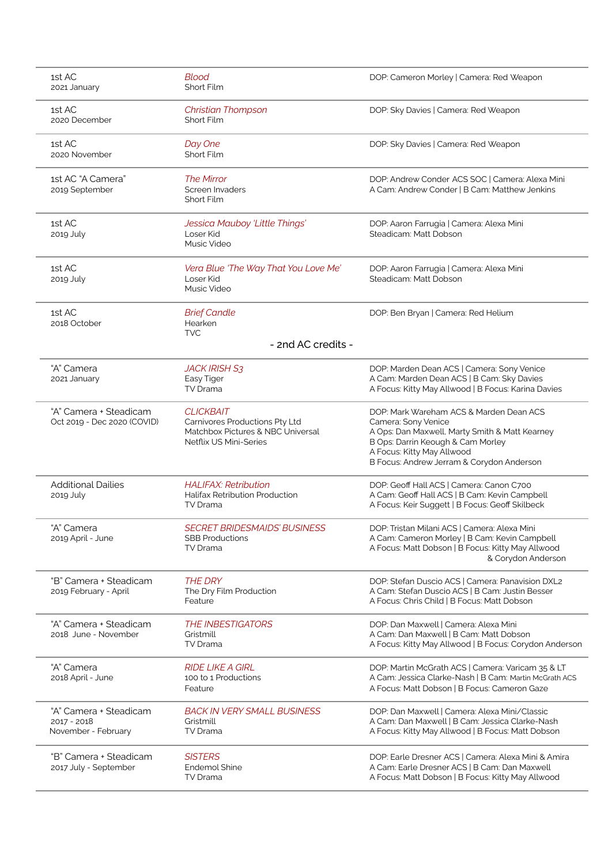| 1st AC<br>2021 January                                         | <b>Blood</b><br>Short Film                                                                                        | DOP: Cameron Morley   Camera: Red Weapon                                                                                                                                                                                         |
|----------------------------------------------------------------|-------------------------------------------------------------------------------------------------------------------|----------------------------------------------------------------------------------------------------------------------------------------------------------------------------------------------------------------------------------|
| 1st AC<br>2020 December                                        | <b>Christian Thompson</b><br>Short Film                                                                           | DOP: Sky Davies   Camera: Red Weapon                                                                                                                                                                                             |
| 1st AC<br>2020 November                                        | Day One<br>Short Film                                                                                             | DOP: Sky Davies   Camera: Red Weapon                                                                                                                                                                                             |
| 1st AC "A Camera"<br>2019 September                            | The Mirror<br>Screen Invaders<br>Short Film                                                                       | DOP: Andrew Conder ACS SOC   Camera: Alexa Mini<br>A Cam: Andrew Conder   B Cam: Matthew Jenkins                                                                                                                                 |
| 1st AC<br>2019 July                                            | Jessica Mauboy 'Little Things'<br>Loser Kid<br>Music Video                                                        | DOP: Aaron Farrugia   Camera: Alexa Mini<br>Steadicam: Matt Dobson                                                                                                                                                               |
| 1st AC<br>2019 July                                            | Vera Blue 'The Way That You Love Me'<br>Loser Kid<br>Music Video                                                  | DOP: Aaron Farrugia   Camera: Alexa Mini<br>Steadicam: Matt Dobson                                                                                                                                                               |
| 1st AC<br>2018 October                                         | <b>Brief Candle</b><br>Hearken<br><b>TVC</b>                                                                      | DOP: Ben Bryan   Camera: Red Helium                                                                                                                                                                                              |
|                                                                | - 2nd AC credits -                                                                                                |                                                                                                                                                                                                                                  |
| "A" Camera<br>2021 January                                     | <b>JACK IRISH S3</b><br>Easy Tiger<br>TV Drama                                                                    | DOP: Marden Dean ACS   Camera: Sony Venice<br>A Cam: Marden Dean ACS   B Cam: Sky Davies<br>A Focus: Kitty May Allwood   B Focus: Karina Davies                                                                                  |
| "A" Camera + Steadicam<br>Oct 2019 - Dec 2020 (COVID)          | <b>CLICKBAIT</b><br>Carnivores Productions Pty Ltd<br>Matchbox Pictures & NBC Universal<br>Netflix US Mini-Series | DOP: Mark Wareham ACS & Marden Dean ACS<br>Camera: Sony Venice<br>A Ops: Dan Maxwell, Marty Smith & Matt Kearney<br>B Ops: Darrin Keough & Cam Morley<br>A Focus: Kitty May Allwood<br>B Focus: Andrew Jerram & Corydon Anderson |
| <b>Additional Dailies</b><br>2019 July                         | <b>HALIFAX: Retribution</b><br><b>Halifax Retribution Production</b><br>TV Drama                                  | DOP: Geoff Hall ACS   Camera: Canon C700<br>A Cam: Geoff Hall ACS   B Cam: Kevin Campbell<br>A Focus: Keir Suggett   B Focus: Geoff Skilbeck                                                                                     |
| "A" Camera<br>2019 April - June                                | <b>SECRET BRIDESMAIDS' BUSINESS</b><br><b>SBB Productions</b><br>TV Drama                                         | DOP: Tristan Milani ACS   Camera: Alexa Mini<br>A Cam: Cameron Morley   B Cam: Kevin Campbell<br>A Focus: Matt Dobson   B Focus: Kitty May Allwood<br>& Corydon Anderson                                                         |
| "B" Camera + Steadicam<br>2019 February - April                | <b>THE DRY</b><br>The Dry Film Production<br>Feature                                                              | DOP: Stefan Duscio ACS   Camera: Panavision DXL2<br>A Cam: Stefan Duscio ACS   B Cam: Justin Besser<br>A Focus: Chris Child   B Focus: Matt Dobson                                                                               |
| "A" Camera + Steadicam<br>2018 June - November                 | <b>THE INBESTIGATORS</b><br>Gristmill<br><b>TV Drama</b>                                                          | DOP: Dan Maxwell   Camera: Alexa Mini<br>A Cam: Dan Maxwell   B Cam: Matt Dobson<br>A Focus: Kitty May Allwood   B Focus: Corydon Anderson                                                                                       |
| "A" Camera<br>2018 April - June                                | <i>RIDE LIKE A GIRL</i><br>100 to 1 Productions<br>Feature                                                        | DOP: Martin McGrath ACS   Camera: Varicam 35 & LT<br>A Cam: Jessica Clarke-Nash   B Cam: Martin McGrath ACS<br>A Focus: Matt Dobson   B Focus: Cameron Gaze                                                                      |
| "A" Camera + Steadicam<br>$2017 - 2018$<br>November - February | <b>BACK IN VERY SMALL BUSINESS</b><br>Gristmill<br>TV Drama                                                       | DOP: Dan Maxwell   Camera: Alexa Mini/Classic<br>A Cam: Dan Maxwell   B Cam: Jessica Clarke-Nash<br>A Focus: Kitty May Allwood   B Focus: Matt Dobson                                                                            |
| "B" Camera + Steadicam<br>2017 July - September                | <b>SISTERS</b><br><b>Endemol Shine</b><br>TV Drama                                                                | DOP: Earle Dresner ACS   Camera: Alexa Mini & Amira<br>A Cam: Earle Dresner ACS   B Cam: Dan Maxwell<br>A Focus: Matt Dobson   B Focus: Kitty May Allwood                                                                        |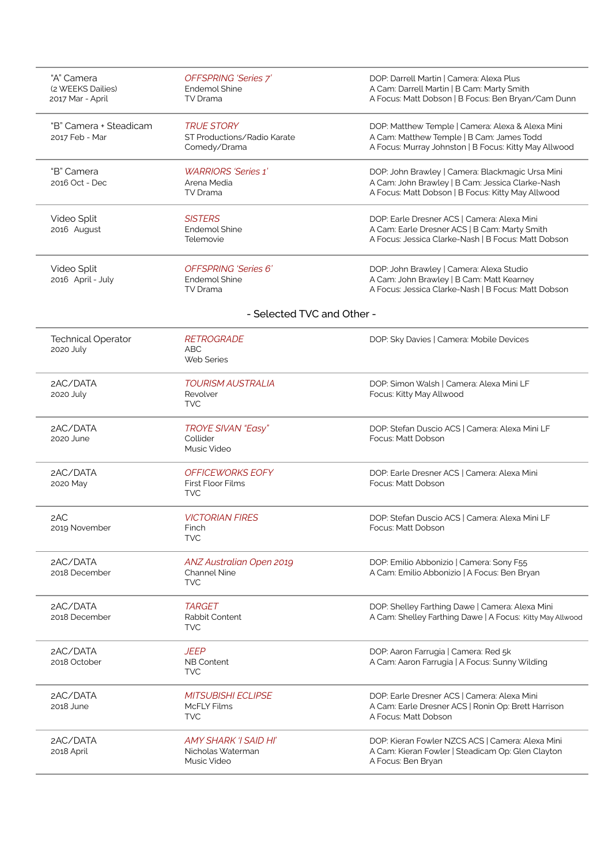| "A" Camera<br>(2 WEEKS Dailies)<br>2017 Mar - April | <b>OFFSPRING 'Series 7'</b><br>Endemol Shine<br>TV Drama               | DOP: Darrell Martin   Camera: Alexa Plus<br>A Cam: Darrell Martin   B Cam: Marty Smith<br>A Focus: Matt Dobson   B Focus: Ben Bryan/Cam Dunn              |
|-----------------------------------------------------|------------------------------------------------------------------------|-----------------------------------------------------------------------------------------------------------------------------------------------------------|
| "B" Camera + Steadicam<br>2017 Feb - Mar            | <b>TRUE STORY</b><br>ST Productions/Radio Karate<br>Comedy/Drama       | DOP: Matthew Temple   Camera: Alexa & Alexa Mini<br>A Cam: Matthew Temple   B Cam: James Todd<br>A Focus: Murray Johnston   B Focus: Kitty May Allwood    |
| "B" Camera<br>2016 Oct - Dec                        | <b>WARRIORS</b> 'Series 1'<br>Arena Media<br>TV Drama                  | DOP: John Brawley   Camera: Blackmagic Ursa Mini<br>A Cam: John Brawley   B Cam: Jessica Clarke-Nash<br>A Focus: Matt Dobson   B Focus: Kitty May Allwood |
| Video Split<br>2016 August                          | <b>SISTERS</b><br>Endemol Shine<br>Telemovie                           | DOP: Earle Dresner ACS   Camera: Alexa Mini<br>A Cam: Earle Dresner ACS   B Cam: Marty Smith<br>A Focus: Jessica Clarke-Nash   B Focus: Matt Dobson       |
| Video Split<br>2016 April - July                    | <b>OFFSPRING 'Series 6'</b><br><b>Endemol Shine</b><br><b>TV Drama</b> | DOP: John Brawley   Camera: Alexa Studio<br>A Cam: John Brawley   B Cam: Matt Kearney<br>A Focus: Jessica Clarke-Nash   B Focus: Matt Dobson              |
|                                                     | - Selected TVC and Other -                                             |                                                                                                                                                           |
| <b>Technical Operator</b><br>2020 July              | <b>RETROGRADE</b><br><b>ABC</b><br><b>Web Series</b>                   | DOP: Sky Davies   Camera: Mobile Devices                                                                                                                  |
| 2AC/DATA<br>2020 July                               | <b>TOURISM AUSTRALIA</b><br>Revolver<br><b>TVC</b>                     | DOP: Simon Walsh   Camera: Alexa Mini LF<br>Focus: Kitty May Allwood                                                                                      |
| 2AC/DATA<br>2020 June                               | <b>TROYE SIVAN "Easy"</b><br>Collider<br>Music Video                   | DOP: Stefan Duscio ACS   Camera: Alexa Mini LF<br>Focus: Matt Dobson                                                                                      |
| 2AC/DATA<br>2020 May                                | <b>OFFICEWORKS EOFY</b><br><b>First Floor Films</b><br><b>TVC</b>      | DOP: Earle Dresner ACS   Camera: Alexa Mini<br>Focus: Matt Dobson                                                                                         |
| 2AC<br>2019 November                                | <b>VICTORIAN FIRES</b><br>Finch<br><b>TVC</b>                          | DOP: Stefan Duscio ACS   Camera: Alexa Mini LF<br>Focus: Matt Dobson                                                                                      |
| 2AC/DATA<br>2018 December                           | ANZ Australian Open 2019<br>Channel Nine<br><b>TVC</b>                 | DOP: Emilio Abbonizio   Camera: Sony F55<br>A Cam: Emilio Abbonizio   A Focus: Ben Bryan                                                                  |
| 2AC/DATA<br>2018 December                           | <b>TARGET</b><br>Rabbit Content<br><b>TVC</b>                          | DOP: Shelley Farthing Dawe   Camera: Alexa Mini<br>A Cam: Shelley Farthing Dawe   A Focus: Kitty May Allwood                                              |
| 2AC/DATA<br>2018 October                            | <b>JEEP</b><br>NB Content<br><b>TVC</b>                                | DOP: Aaron Farrugia   Camera: Red 5k<br>A Cam: Aaron Farrugia   A Focus: Sunny Wilding                                                                    |
| 2AC/DATA<br>2018 June                               | <b>MITSUBISHI ECLIPSE</b><br><b>McFLY Films</b><br><b>TVC</b>          | DOP: Earle Dresner ACS   Camera: Alexa Mini<br>A Cam: Earle Dresner ACS   Ronin Op: Brett Harrison<br>A Focus: Matt Dobson                                |
| 2AC/DATA<br>2018 April                              | <b>AMY SHARK 'I SAID HI'</b><br>Nicholas Waterman<br>Music Video       | DOP: Kieran Fowler NZCS ACS   Camera: Alexa Mini<br>A Cam: Kieran Fowler   Steadicam Op: Glen Clayton<br>A Focus: Ben Bryan                               |